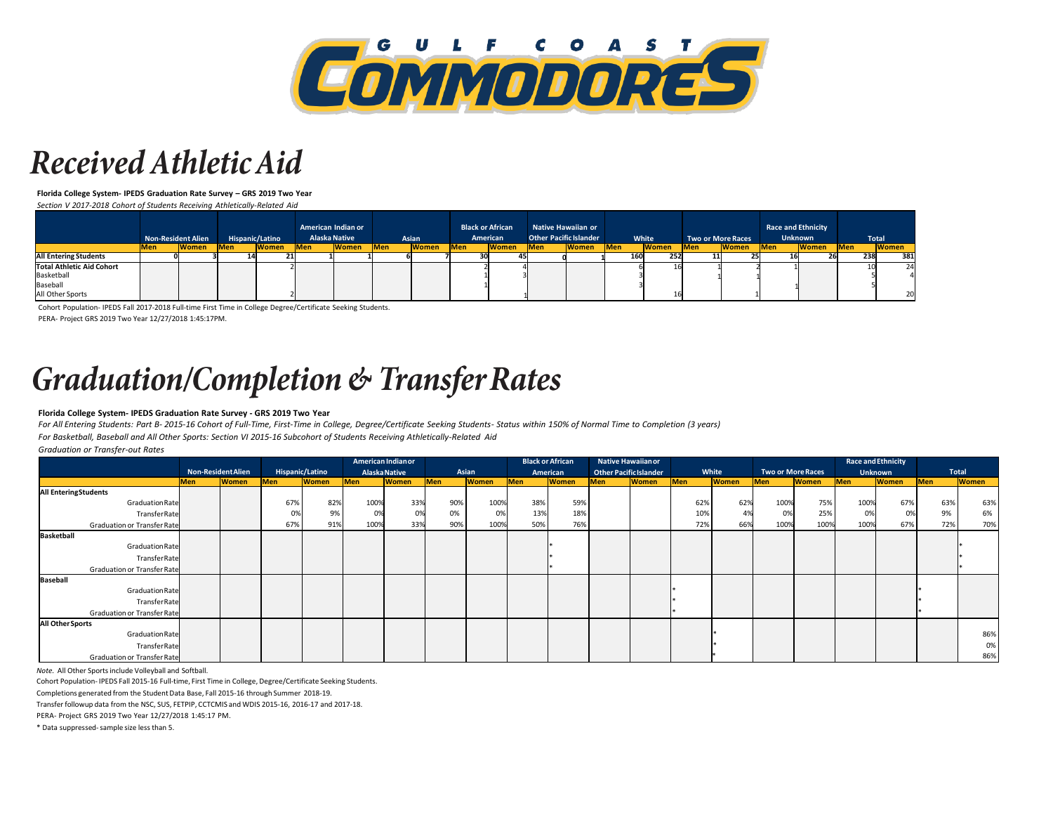

## **Received Athletic Aid**

**Florida College System- IPEDS Graduation Rate Survey – GRS 2019 Two Year**

*Section V 2017-2018 Cohort of Students Receiving Athletically-Related Aid*

|                                                     | <b>Non-Resident Alien</b> |               | Hispanic/Latino |              | American Indian or<br><b>Alaska Native</b> |              | Asian      |              | <b>Black or African</b><br>American |              | Native Hawaiian or<br><b>Other Pacific Islander</b> |              | White       |              | <b>Two or More Races</b> |              | <b>Race and Ethnicity</b><br><b>Unknown</b> |              | Total      |              |
|-----------------------------------------------------|---------------------------|---------------|-----------------|--------------|--------------------------------------------|--------------|------------|--------------|-------------------------------------|--------------|-----------------------------------------------------|--------------|-------------|--------------|--------------------------|--------------|---------------------------------------------|--------------|------------|--------------|
|                                                     | <b>Men</b>                | <b>IWomen</b> | <b>Men</b>      | <b>Women</b> | <b>IMen</b>                                | <b>Women</b> | <b>Men</b> | <b>Women</b> | <b>IMen</b>                         | <b>Women</b> | <b>IMen</b>                                         | <b>Women</b> | <b>IMen</b> | <b>Women</b> | <b>IMen</b>              | <b>Women</b> | <b>Men</b>                                  | <b>Women</b> | <b>Men</b> | <b>Women</b> |
| <b>All Entering Students</b>                        |                           |               |                 |              |                                            |              |            |              |                                     |              |                                                     |              | 160         | 252          |                          |              |                                             |              |            | 381<br>238   |
| Total Athletic Aid Cohort<br>Basketball<br>Baseball |                           |               |                 |              |                                            |              |            |              |                                     |              |                                                     |              |             |              |                          |              |                                             |              |            | 24           |
| All Other Sports                                    |                           |               |                 |              |                                            |              |            |              |                                     |              |                                                     |              |             |              |                          |              |                                             |              |            | 20           |

Cohort Population- IPEDS Fall 2017-2018 Full-time First Time in College Degree/Certificate Seeking Students. PERA- Project GRS 2019 Two Year 12/27/2018 1:45:17PM.

# **Graduation/Completion & Transfer Rates**

### **Florida College System- IPEDS Graduation Rate Survey - GRS 2019 Two Year**

*For All Entering Students: Part B- 2015-16 Cohort of Full-Time, First-Time in College, Degree/Certificate Seeking Students- Status within 150% of Normal Time to Completion (3 years) For Basketball, Baseball and All Other Sports: Section VI 2015-16 Subcohort of Students Receiving Athletically-Related Aid*

*Graduation or Transfer-out Rates*

|                              |                           |              | American Indian or |              |               |              | <b>Black or African</b> |              |            | <b>Native Hawaiianor</b> |                               |              |       |              | <b>Race and Ethnicity</b> |              |                |              |              |              |
|------------------------------|---------------------------|--------------|--------------------|--------------|---------------|--------------|-------------------------|--------------|------------|--------------------------|-------------------------------|--------------|-------|--------------|---------------------------|--------------|----------------|--------------|--------------|--------------|
|                              | <b>Non-Resident Alien</b> |              | Hispanic/Latino    |              | Alaska Native |              | Asian                   |              |            | American                 | <b>Other Pacific Islander</b> |              | White |              | <b>Two or More Races</b>  |              | <b>Unknown</b> |              | <b>Total</b> |              |
|                              | <b>IMen</b>               | <b>Women</b> | <b>Men</b>         | <b>Women</b> | <b>Men</b>    | <b>Women</b> | Men                     | <b>Women</b> | <b>Men</b> | <b>Women</b>             | <b>IMen</b>                   | <b>Women</b> | Men   | <b>Women</b> | <b>Men</b>                | <b>Women</b> | <b>IMen</b>    | <b>Women</b> | <b>Men</b>   | <b>Women</b> |
| <b>All Entering Students</b> |                           |              |                    |              |               |              |                         |              |            |                          |                               |              |       |              |                           |              |                |              |              |              |
| Graduation Rate              |                           |              | 67%                | 82%          | 100%          | 33%          | 90%                     | 100%         | 38%        | 59%                      |                               |              | 62%   | 62%          | 100%                      | 75%          | 100%           | 67%          | 63%          | 63%          |
| TransferRate                 |                           |              |                    | 9%           | 0%            |              | 0%                      | 0%           | 13%        | 18%                      |                               |              | 10%   |              | 0%                        | 25%          | 0%             |              | 9%           | 6%           |
| Graduation or Transfer Rate  |                           |              | 67%                | 91%          | 100%          | 33%          | 90%                     | 100%         | 50%        | 76%                      |                               |              | 72%   | 66%          | 100%                      | 100%         | 100%           | 67%          | 72%          | 70%          |
| Basketball                   |                           |              |                    |              |               |              |                         |              |            |                          |                               |              |       |              |                           |              |                |              |              |              |
| Graduation Rate              |                           |              |                    |              |               |              |                         |              |            |                          |                               |              |       |              |                           |              |                |              |              |              |
| TransferRate                 |                           |              |                    |              |               |              |                         |              |            |                          |                               |              |       |              |                           |              |                |              |              |              |
| Graduation or Transfer Rate  |                           |              |                    |              |               |              |                         |              |            |                          |                               |              |       |              |                           |              |                |              |              |              |
| Baseball                     |                           |              |                    |              |               |              |                         |              |            |                          |                               |              |       |              |                           |              |                |              |              |              |
| Graduation Rate              |                           |              |                    |              |               |              |                         |              |            |                          |                               |              |       |              |                           |              |                |              |              |              |
| TransferRate                 |                           |              |                    |              |               |              |                         |              |            |                          |                               |              |       |              |                           |              |                |              |              |              |
| Graduation or Transfer Rate  |                           |              |                    |              |               |              |                         |              |            |                          |                               |              |       |              |                           |              |                |              |              |              |
| All Other Sports             |                           |              |                    |              |               |              |                         |              |            |                          |                               |              |       |              |                           |              |                |              |              |              |
| Graduation Rate              |                           |              |                    |              |               |              |                         |              |            |                          |                               |              |       |              |                           |              |                |              |              | 86%          |
| TransferRate                 |                           |              |                    |              |               |              |                         |              |            |                          |                               |              |       |              |                           |              |                |              |              | 0%           |
| Graduation or Transfer Rate  |                           |              |                    |              |               |              |                         |              |            |                          |                               |              |       |              |                           |              |                |              |              | 86%          |

*Note.* All Other Sports include Volleyball and Softball.

Cohort Population- IPEDS Fall 2015-16 Full-time, First Time in College, Degree/Certificate Seeking Students.

Completions generated from the Student Data Base, Fall 2015-16 through Summer 2018-19.

Transfer followup data from the NSC, SUS, FETPIP, CCTCMIS and WDIS 2015-16, 2016-17 and 2017-18.

PERA- Project GRS 2019 Two Year 12/27/2018 1:45:17 PM.

\* Data suppressed- sample size less than 5.